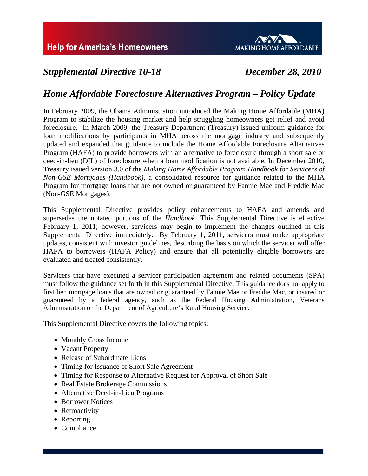

# *Supplemental Directive 10-18 December 28, 2010*

# *Home Affordable Foreclosure Alternatives Program – Policy Update*

In February 2009, the Obama Administration introduced the Making Home Affordable (MHA) Program to stabilize the housing market and help struggling homeowners get relief and avoid foreclosure. In March 2009, the Treasury Department (Treasury) issued uniform guidance for loan modifications by participants in MHA across the mortgage industry and subsequently updated and expanded that guidance to include the Home Affordable Foreclosure Alternatives Program (HAFA) to provide borrowers with an alternative to foreclosure through a short sale or deed-in-lieu (DIL) of foreclosure when a loan modification is not available. In December 2010, Treasury issued version 3.0 of the *Making Home Affordable Program Handbook for Servicers of Non-GSE Mortgages (Handbook)*, a consolidated resource for guidance related to the MHA Program for mortgage loans that are not owned or guaranteed by Fannie Mae and Freddie Mac (Non-GSE Mortgages).

This Supplemental Directive provides policy enhancements to HAFA and amends and supersedes the notated portions of the *Handbook*. This Supplemental Directive is effective February 1, 2011; however, servicers may begin to implement the changes outlined in this Supplemental Directive immediately. By February 1, 2011, servicers must make appropriate updates, consistent with investor guidelines, describing the basis on which the servicer will offer HAFA to borrowers (HAFA Policy) and ensure that all potentially eligible borrowers are evaluated and treated consistently.

Servicers that have executed a servicer participation agreement and related documents (SPA) must follow the guidance set forth in this Supplemental Directive. This guidance does not apply to first lien mortgage loans that are owned or guaranteed by Fannie Mae or Freddie Mac, or insured or guaranteed by a federal agency, such as the Federal Housing Administration, Veterans Administration or the Department of Agriculture's Rural Housing Service.

This Supplemental Directive covers the following topics:

- Monthly Gross Income
- Vacant Property
- Release of Subordinate Liens
- Timing for Issuance of Short Sale Agreement
- Timing for Response to Alternative Request for Approval of Short Sale
- Real Estate Brokerage Commissions
- Alternative Deed-in-Lieu Programs
- Borrower Notices
- Retroactivity
- Reporting
- Compliance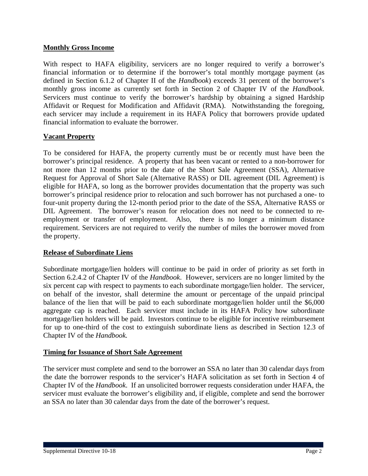### **Monthly Gross Income**

With respect to HAFA eligibility, servicers are no longer required to verify a borrower's financial information or to determine if the borrower's total monthly mortgage payment (as defined in Section 6.1.2 of Chapter II of the *Handbook*) exceeds 31 percent of the borrower's monthly gross income as currently set forth in Section 2 of Chapter IV of the *Handbook*. Servicers must continue to verify the borrower's hardship by obtaining a signed Hardship Affidavit or Request for Modification and Affidavit (RMA). Notwithstanding the foregoing, each servicer may include a requirement in its HAFA Policy that borrowers provide updated financial information to evaluate the borrower.

### **Vacant Property**

To be considered for HAFA, the property currently must be or recently must have been the borrower's principal residence. A property that has been vacant or rented to a non-borrower for not more than 12 months prior to the date of the Short Sale Agreement (SSA), Alternative Request for Approval of Short Sale (Alternative RASS) or DIL agreement (DIL Agreement) is eligible for HAFA, so long as the borrower provides documentation that the property was such borrower's principal residence prior to relocation and such borrower has not purchased a one- to four-unit property during the 12-month period prior to the date of the SSA, Alternative RASS or DIL Agreement. The borrower's reason for relocation does not need to be connected to reemployment or transfer of employment. Also, there is no longer a minimum distance requirement. Servicers are not required to verify the number of miles the borrower moved from the property.

#### **Release of Subordinate Liens**

Subordinate mortgage/lien holders will continue to be paid in order of priority as set forth in Section 6.2.4.2 of Chapter IV of the *Handbook*. However, servicers are no longer limited by the six percent cap with respect to payments to each subordinate mortgage/lien holder. The servicer, on behalf of the investor, shall determine the amount or percentage of the unpaid principal balance of the lien that will be paid to each subordinate mortgage/lien holder until the \$6,000 aggregate cap is reached. Each servicer must include in its HAFA Policy how subordinate mortgage/lien holders will be paid. Investors continue to be eligible for incentive reimbursement for up to one-third of the cost to extinguish subordinate liens as described in Section 12.3 of Chapter IV of the *Handbook.*

#### **Timing for Issuance of Short Sale Agreement**

The servicer must complete and send to the borrower an SSA no later than 30 calendar days from the date the borrower responds to the servicer's HAFA solicitation as set forth in Section 4 of Chapter IV of the *Handbook*. If an unsolicited borrower requests consideration under HAFA, the servicer must evaluate the borrower's eligibility and, if eligible, complete and send the borrower an SSA no later than 30 calendar days from the date of the borrower's request.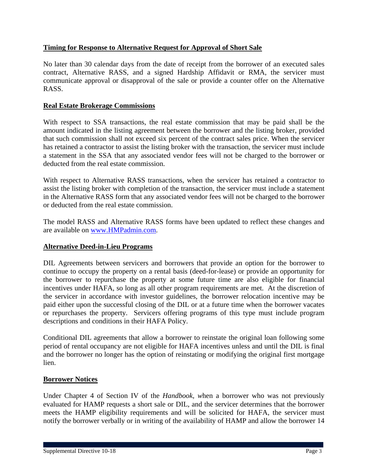# **Timing for Response to Alternative Request for Approval of Short Sale**

No later than 30 calendar days from the date of receipt from the borrower of an executed sales contract, Alternative RASS, and a signed Hardship Affidavit or RMA, the servicer must communicate approval or disapproval of the sale or provide a counter offer on the Alternative RASS.

# **Real Estate Brokerage Commissions**

With respect to SSA transactions, the real estate commission that may be paid shall be the amount indicated in the listing agreement between the borrower and the listing broker, provided that such commission shall not exceed six percent of the contract sales price. When the servicer has retained a contractor to assist the listing broker with the transaction, the servicer must include a statement in the SSA that any associated vendor fees will not be charged to the borrower or deducted from the real estate commission.

With respect to Alternative RASS transactions, when the servicer has retained a contractor to assist the listing broker with completion of the transaction, the servicer must include a statement in the Alternative RASS form that any associated vendor fees will not be charged to the borrower or deducted from the real estate commission.

The model RASS and Alternative RASS forms have been updated to reflect these changes and are available on [www.HMPadmin.com.](http://www.hmpadmin.com/)

# **Alternative Deed-in-Lieu Programs**

DIL Agreements between servicers and borrowers that provide an option for the borrower to continue to occupy the property on a rental basis (deed-for-lease) or provide an opportunity for the borrower to repurchase the property at some future time are also eligible for financial incentives under HAFA, so long as all other program requirements are met. At the discretion of the servicer in accordance with investor guidelines, the borrower relocation incentive may be paid either upon the successful closing of the DIL or at a future time when the borrower vacates or repurchases the property. Servicers offering programs of this type must include program descriptions and conditions in their HAFA Policy.

Conditional DIL agreements that allow a borrower to reinstate the original loan following some period of rental occupancy are not eligible for HAFA incentives unless and until the DIL is final and the borrower no longer has the option of reinstating or modifying the original first mortgage lien.

#### **Borrower Notices**

Under Chapter 4 of Section IV of the *Handbook, w*hen a borrower who was not previously evaluated for HAMP requests a short sale or DIL, and the servicer determines that the borrower meets the HAMP eligibility requirements and will be solicited for HAFA, the servicer must notify the borrower verbally or in writing of the availability of HAMP and allow the borrower 14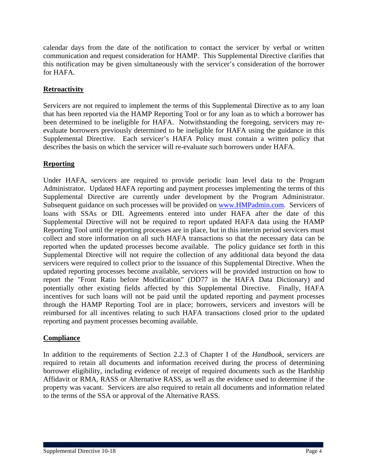calendar days from the date of the notification to contact the servicer by verbal or written communication and request consideration for HAMP. This Supplemental Directive clarifies that this notification may be given simultaneously with the servicer's consideration of the borrower for HAFA.

# **Retroactivity**

Servicers are not required to implement the terms of this Supplemental Directive as to any loan that has been reported via the HAMP Reporting Tool or for any loan as to which a borrower has been determined to be ineligible for HAFA. Notwithstanding the foregoing, servicers may reevaluate borrowers previously determined to be ineligible for HAFA using the guidance in this Supplemental Directive. Each servicer's HAFA Policy must contain a written policy that describes the basis on which the servicer will re-evaluate such borrowers under HAFA.

# **Reporting**

Under HAFA, servicers are required to provide periodic loan level data to the Program Administrator. Updated HAFA reporting and payment processes implementing the terms of this Supplemental Directive are currently under development by the Program Administrator. Subsequent guidance on such processes will be provided on [www.HMPadmin.com](http://www.hmpadmin.com/). Servicers of loans with SSAs or DIL Agreements entered into under HAFA after the date of this Supplemental Directive will not be required to report updated HAFA data using the HAMP Reporting Tool until the reporting processes are in place, but in this interim period servicers must collect and store information on all such HAFA transactions so that the necessary data can be reported when the updated processes become available. The policy guidance set forth in this Supplemental Directive will not require the collection of any additional data beyond the data servicers were required to collect prior to the issuance of this Supplemental Directive. When the updated reporting processes become available, servicers will be provided instruction on how to report the "Front Ratio before Modification" (DD77 in the HAFA Data Dictionary) and potentially other existing fields affected by this Supplemental Directive. Finally, HAFA incentives for such loans will not be paid until the updated reporting and payment processes through the HAMP Reporting Tool are in place; borrowers, servicers and investors will be reimbursed for all incentives relating to such HAFA transactions closed prior to the updated reporting and payment processes becoming available.

# **Compliance**

In addition to the requirements of Section 2.2.3 of Chapter I of the *Handbook*, servicers are required to retain all documents and information received during the process of determining borrower eligibility, including evidence of receipt of required documents such as the Hardship Affidavit or RMA, RASS or Alternative RASS, as well as the evidence used to determine if the property was vacant. Servicers are also required to retain all documents and information related to the terms of the SSA or approval of the Alternative RASS.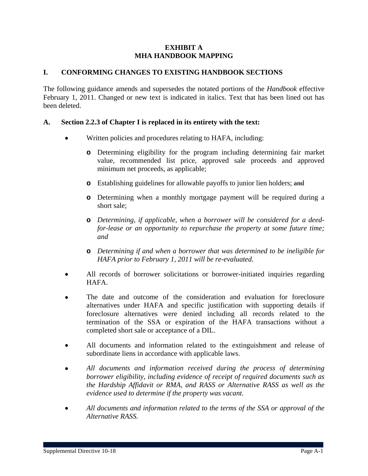#### **EXHIBIT A MHA HANDBOOK MAPPING**

### **I. CONFORMING CHANGES TO EXISTING HANDBOOK SECTIONS**

The following guidance amends and supersedes the notated portions of the *Handbook* effective February 1, 2011. Changed or new text is indicated in italics. Text that has been lined out has been deleted.

### **A. Section 2.2.3 of Chapter I is replaced in its entirety with the text:**

- Written policies and procedures relating to HAFA, including:
	- **o** Determining eligibility for the program including determining fair market value, recommended list price, approved sale proceeds and approved minimum net proceeds, as applicable;
	- **o** Establishing guidelines for allowable payoffs to junior lien holders; and
	- **o** Determining when a monthly mortgage payment will be required during a short sale;
	- **o** *Determining, if applicable, when a borrower will be considered for a deedfor-lease or an opportunity to repurchase the property at some future time; and*
	- **o** *Determining if and when a borrower that was determined to be ineligible for HAFA prior to February 1, 2011 will be re-evaluated.*
- All records of borrower solicitations or borrower-initiated inquiries regarding HAFA.
- The date and outcome of the consideration and evaluation for foreclosure alternatives under HAFA and specific justification with supporting details if foreclosure alternatives were denied including all records related to the termination of the SSA or expiration of the HAFA transactions without a completed short sale or acceptance of a DIL.
- All documents and information related to the extinguishment and release of subordinate liens in accordance with applicable laws.
- *All documents and information received during the process of determining borrower eligibility, including evidence of receipt of required documents such as the Hardship Affidavit or RMA, and RASS or Alternative RASS as well as the evidence used to determine if the property was vacant.*
- *All documents and information related to the terms of the SSA or approval of the Alternative RASS.*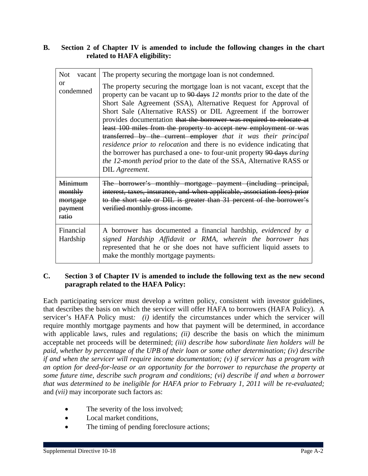# **B. Section 2 of Chapter IV is amended to include the following changes in the chart related to HAFA eligibility:**

| <b>Not</b><br>vacant                               | The property securing the mortgage loan is not condemned.                                                                                                                                                                                                                                                                                                                                                                                                                                                                                                                                                                                                                                                                                                           |
|----------------------------------------------------|---------------------------------------------------------------------------------------------------------------------------------------------------------------------------------------------------------------------------------------------------------------------------------------------------------------------------------------------------------------------------------------------------------------------------------------------------------------------------------------------------------------------------------------------------------------------------------------------------------------------------------------------------------------------------------------------------------------------------------------------------------------------|
| or<br>condemned                                    | The property securing the mortgage loan is not vacant, except that the<br>property can be vacant up to 90 days 12 months prior to the date of the<br>Short Sale Agreement (SSA), Alternative Request for Approval of<br>Short Sale (Alternative RASS) or DIL Agreement if the borrower<br>provides documentation that the borrower was required to relocate at<br>least 100 miles from the property to accept new employment or was<br>transferred by the current employer that it was their principal<br>residence prior to relocation and there is no evidence indicating that<br>the borrower has purchased a one- to four-unit property 90 days <i>during</i><br><i>the 12-month period</i> prior to the date of the SSA, Alternative RASS or<br>DIL Agreement. |
| Minimum<br>monthly<br>mortgage<br>payment<br>ratio | The borrower's monthly mortgage payment (including principal,<br>interest, taxes, insurance, and when applicable, association fees) prior<br>to the short sale or DIL is greater than 31 percent of the borrower's<br>verified monthly gross income.                                                                                                                                                                                                                                                                                                                                                                                                                                                                                                                |
| Financial<br>Hardship                              | A borrower has documented a financial hardship, evidenced by a<br>signed Hardship Affidavit or RMA, wherein the borrower has<br>represented that he or she does not have sufficient liquid assets to<br>make the monthly mortgage payments.                                                                                                                                                                                                                                                                                                                                                                                                                                                                                                                         |

### **C. Section 3 of Chapter IV is amended to include the following text as the new second paragraph related to the HAFA Policy:**

Each participating servicer must develop a written policy, consistent with investor guidelines, that describes the basis on which the servicer will offer HAFA to borrowers (HAFA Policy). A servicer's HAFA Policy must*: (i)* identify the circumstances under which the servicer will require monthly mortgage payments and how that payment will be determined, in accordance with applicable laws, rules and regulations; *(ii)* describe the basis on which the minimum acceptable net proceeds will be determined; *(iii) describe how subordinate lien holders will be paid, whether by percentage of the UPB of their loan or some other determination; (iv) describe if and when the servicer will require income documentation; (v) if servicer has a program with an option for deed-for-lease or an opportunity for the borrower to repurchase the property at some future time, describe such program and conditions; (vi) describe if and when a borrower that was determined to be ineligible for HAFA prior to February 1, 2011 will be re-evaluated;*  and *(vii)* may incorporate such factors as:

- The severity of the loss involved;
- Local market conditions.
- The timing of pending foreclosure actions;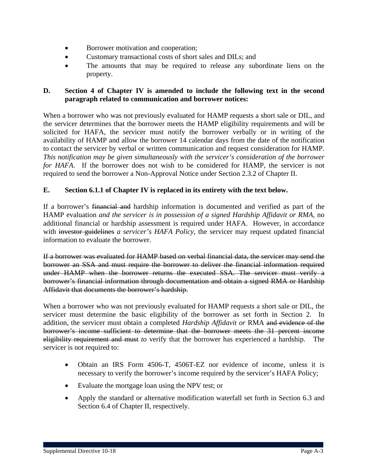- Borrower motivation and cooperation;
- Customary transactional costs of short sales and DILs; and
- The amounts that may be required to release any subordinate liens on the property.

# **D. Section 4 of Chapter IV is amended to include the following text in the second paragraph related to communication and borrower notices:**

When a borrower who was not previously evaluated for HAMP requests a short sale or DIL, and the servicer determines that the borrower meets the HAMP eligibility requirements and will be solicited for HAFA, the servicer must notify the borrower verbally or in writing of the availability of HAMP and allow the borrower 14 calendar days from the date of the notification to contact the servicer by verbal or written communication and request consideration for HAMP. *This notification may be given simultaneously with the servicer's consideration of the borrower for HAFA.* If the borrower does not wish to be considered for HAMP, the servicer is not required to send the borrower a Non-Approval Notice under Section 2.3.2 of Chapter II.

# **E. Section 6.1.1 of Chapter IV is replaced in its entirety with the text below.**

If a borrower's financial and hardship information is documented and verified as part of the HAMP evaluation *and the servicer is in possession of a signed Hardship Affidavit or RMA*, no additional financial or hardship assessment is required under HAFA. However, in accordance with investor guidelines *a servicer's HAFA Policy*, the servicer may request updated financial information to evaluate the borrower.

If a borrower was evaluated for HAMP based on verbal financial data, the servicer may send the borrower an SSA and must require the borrower to deliver the financial information required under HAMP when the borrower returns the executed SSA. The servicer must verify a borrower's financial information through documentation and obtain a signed RMA or Hardship Affidavit that documents the borrower's hardship.

When a borrower who was not previously evaluated for HAMP requests a short sale or DIL, the servicer must determine the basic eligibility of the borrower as set forth in Section 2. In addition, the servicer must obtain a completed *Hardship Affidavit or* RMA and evidence of the borrower's income sufficient to determine that the borrower meets the 31 percent income eligibility requirement and must *to* verify that the borrower has experienced a hardship. The servicer is not required to:

- Obtain an IRS Form 4506-T, 4506T-EZ nor evidence of income, unless it is necessary to verify the borrower's income required by the servicer's HAFA Policy;
- Evaluate the mortgage loan using the NPV test; or
- Apply the standard or alternative modification waterfall set forth in Section 6.3 and Section 6.4 of Chapter II, respectively.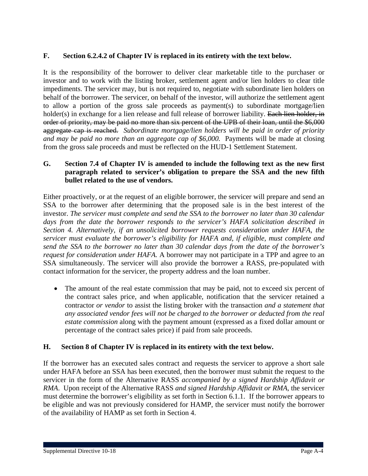# **F. Section 6.2.4.2 of Chapter IV is replaced in its entirety with the text below.**

It is the responsibility of the borrower to deliver clear marketable title to the purchaser or investor and to work with the listing broker, settlement agent and/or lien holders to clear title impediments. The servicer may, but is not required to, negotiate with subordinate lien holders on behalf of the borrower. The servicer, on behalf of the investor, will authorize the settlement agent to allow a portion of the gross sale proceeds as payment(s) to subordinate mortgage/lien holder(s) in exchange for a lien release and full release of borrower liability. Each lien holder, in order of priority, may be paid no more than six percent of the UPB of their loan, until the \$6,000 aggregate cap is reached. *Subordinate mortgage/lien holders will be paid in order of priority and may be paid no more than an aggregate cap of \$6,000.* Payments will be made at closing from the gross sale proceeds and must be reflected on the HUD-1 Settlement Statement.

# **G. Section 7.4 of Chapter IV is amended to include the following text as the new first paragraph related to servicer's obligation to prepare the SSA and the new fifth bullet related to the use of vendors.**

Either proactively, or at the request of an eligible borrower, the servicer will prepare and send an SSA to the borrower after determining that the proposed sale is in the best interest of the investor. *The servicer must complete and send the SSA to the borrower no later than 30 calendar days from the date the borrower responds to the servicer's HAFA solicitation described in Section 4. Alternatively, if an unsolicited borrower requests consideration under HAFA, the servicer must evaluate the borrower's eligibility for HAFA and, if eligible, must complete and send the SSA to the borrower no later than 30 calendar days from the date of the borrower's request for consideration under HAFA.* A borrower may not participate in a TPP and agree to an SSA simultaneously. The servicer will also provide the borrower a RASS, pre-populated with contact information for the servicer, the property address and the loan number.

• The amount of the real estate commission that may be paid, not to exceed six percent of the contract sales price, and when applicable, notification that the servicer retained a contractor *or vendor* to assist the listing broker with the transaction *and a statement that any associated vendor fees will not be charged to the borrower or deducted from the real estate commission* along with the payment amount (expressed as a fixed dollar amount or percentage of the contract sales price) if paid from sale proceeds.

# **H. Section 8 of Chapter IV is replaced in its entirety with the text below.**

If the borrower has an executed sales contract and requests the servicer to approve a short sale under HAFA before an SSA has been executed, then the borrower must submit the request to the servicer in the form of the Alternative RASS *accompanied by a signed Hardship Affidavit or RMA*. Upon receipt of the Alternative RASS *and signed Hardship Affidavit or RMA*, the servicer must determine the borrower's eligibility as set forth in Section 6.1.1. If the borrower appears to be eligible and was not previously considered for HAMP, the servicer must notify the borrower of the availability of HAMP as set forth in Section 4.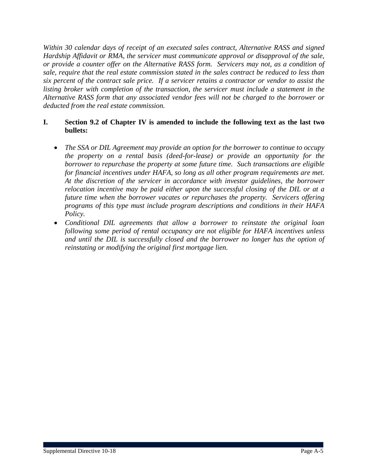*Within 30 calendar days of receipt of an executed sales contract, Alternative RASS and signed Hardship Affidavit or RMA, the servicer must communicate approval or disapproval of the sale, or provide a counter offer on the Alternative RASS form. Servicers may not, as a condition of sale, require that the real estate commission stated in the sales contract be reduced to less than six percent of the contract sale price. If a servicer retains a contractor or vendor to assist the listing broker with completion of the transaction, the servicer must include a statement in the Alternative RASS form that any associated vendor fees will not be charged to the borrower or deducted from the real estate commission.* 

# **I. Section 9.2 of Chapter IV is amended to include the following text as the last two bullets:**

- *The SSA or DIL Agreement may provide an option for the borrower to continue to occupy the property on a rental basis (deed-for-lease) or provide an opportunity for the borrower to repurchase the property at some future time. Such transactions are eligible for financial incentives under HAFA, so long as all other program requirements are met. At the discretion of the servicer in accordance with investor guidelines, the borrower relocation incentive may be paid either upon the successful closing of the DIL or at a future time when the borrower vacates or repurchases the property. Servicers offering programs of this type must include program descriptions and conditions in their HAFA Policy.*
- *Conditional DIL agreements that allow a borrower to reinstate the original loan following some period of rental occupancy are not eligible for HAFA incentives unless and until the DIL is successfully closed and the borrower no longer has the option of reinstating or modifying the original first mortgage lien.*